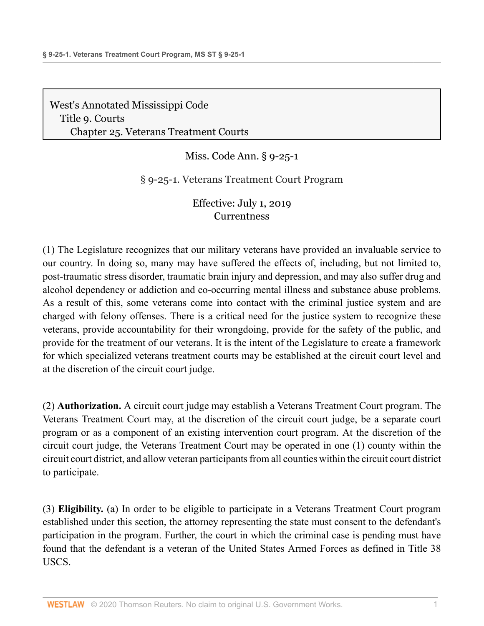[West's Annotated Mississippi Code](http://www.westlaw.com/Browse/Home/StatutesCourtRules/MississippiStatutesCourtRules?transitionType=DocumentItem&contextData=(sc.Document)&rs=clbt1.0&vr=3.0) [Title 9. Courts](http://www.westlaw.com/Browse/Home/StatutesCourtRules/MississippiStatutesCourtRules?guid=N9C8E5FB0AB1911DBB5DDAC3692B918BC&transitionType=DocumentItem&contextData=(sc.Document)&rs=clbt1.0&vr=3.0) [Chapter 25. Veterans Treatment Courts](http://www.westlaw.com/Browse/Home/StatutesCourtRules/MississippiStatutesCourtRules?guid=N12E0E7402D4511E4A268BCA8234CC652&transitionType=DocumentItem&contextData=(sc.Document)&rs=clbt1.0&vr=3.0)

Miss. Code Ann. § 9-25-1

§ 9-25-1. Veterans Treatment Court Program

Effective: July 1, 2019 **[Currentness](#page-4-0)** 

(1) The Legislature recognizes that our military veterans have provided an invaluable service to our country. In doing so, many may have suffered the effects of, including, but not limited to, post-traumatic stress disorder, traumatic brain injury and depression, and may also suffer drug and alcohol dependency or addiction and co-occurring mental illness and substance abuse problems. As a result of this, some veterans come into contact with the criminal justice system and are charged with felony offenses. There is a critical need for the justice system to recognize these veterans, provide accountability for their wrongdoing, provide for the safety of the public, and provide for the treatment of our veterans. It is the intent of the Legislature to create a framework for which specialized veterans treatment courts may be established at the circuit court level and at the discretion of the circuit court judge.

(2) **Authorization.** A circuit court judge may establish a Veterans Treatment Court program. The Veterans Treatment Court may, at the discretion of the circuit court judge, be a separate court program or as a component of an existing intervention court program. At the discretion of the circuit court judge, the Veterans Treatment Court may be operated in one (1) county within the circuit court district, and allow veteran participants from all counties within the circuit court district to participate.

(3) **Eligibility.** (a) In order to be eligible to participate in a Veterans Treatment Court program established under this section, the attorney representing the state must consent to the defendant's participation in the program. Further, the court in which the criminal case is pending must have found that the defendant is a veteran of the United States Armed Forces as defined in Title 38 USCS.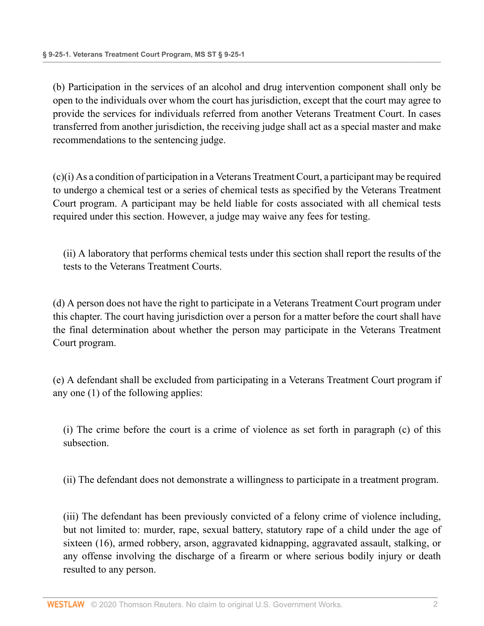(b) Participation in the services of an alcohol and drug intervention component shall only be open to the individuals over whom the court has jurisdiction, except that the court may agree to provide the services for individuals referred from another Veterans Treatment Court. In cases transferred from another jurisdiction, the receiving judge shall act as a special master and make recommendations to the sentencing judge.

(c)(i) As a condition of participation in a Veterans Treatment Court, a participant may be required to undergo a chemical test or a series of chemical tests as specified by the Veterans Treatment Court program. A participant may be held liable for costs associated with all chemical tests required under this section. However, a judge may waive any fees for testing.

(ii) A laboratory that performs chemical tests under this section shall report the results of the tests to the Veterans Treatment Courts.

(d) A person does not have the right to participate in a Veterans Treatment Court program under this chapter. The court having jurisdiction over a person for a matter before the court shall have the final determination about whether the person may participate in the Veterans Treatment Court program.

(e) A defendant shall be excluded from participating in a Veterans Treatment Court program if any one (1) of the following applies:

(i) The crime before the court is a crime of violence as set forth in paragraph (c) of this subsection.

(ii) The defendant does not demonstrate a willingness to participate in a treatment program.

(iii) The defendant has been previously convicted of a felony crime of violence including, but not limited to: murder, rape, sexual battery, statutory rape of a child under the age of sixteen (16), armed robbery, arson, aggravated kidnapping, aggravated assault, stalking, or any offense involving the discharge of a firearm or where serious bodily injury or death resulted to any person.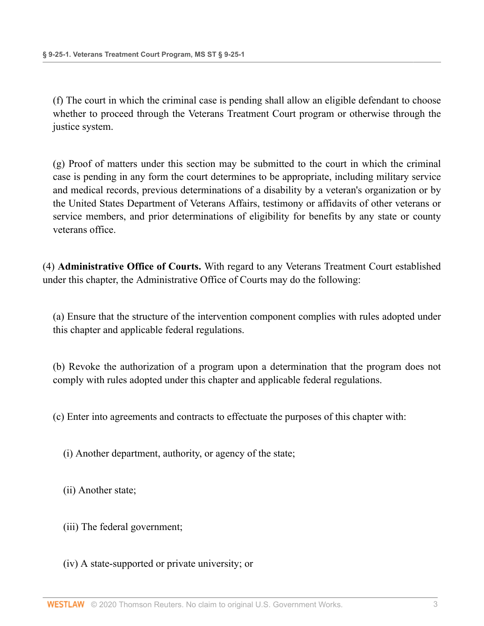(f) The court in which the criminal case is pending shall allow an eligible defendant to choose whether to proceed through the Veterans Treatment Court program or otherwise through the justice system.

(g) Proof of matters under this section may be submitted to the court in which the criminal case is pending in any form the court determines to be appropriate, including military service and medical records, previous determinations of a disability by a veteran's organization or by the United States Department of Veterans Affairs, testimony or affidavits of other veterans or service members, and prior determinations of eligibility for benefits by any state or county veterans office.

(4) **Administrative Office of Courts.** With regard to any Veterans Treatment Court established under this chapter, the Administrative Office of Courts may do the following:

(a) Ensure that the structure of the intervention component complies with rules adopted under this chapter and applicable federal regulations.

(b) Revoke the authorization of a program upon a determination that the program does not comply with rules adopted under this chapter and applicable federal regulations.

(c) Enter into agreements and contracts to effectuate the purposes of this chapter with:

(i) Another department, authority, or agency of the state;

(ii) Another state;

- (iii) The federal government;
- (iv) A state-supported or private university; or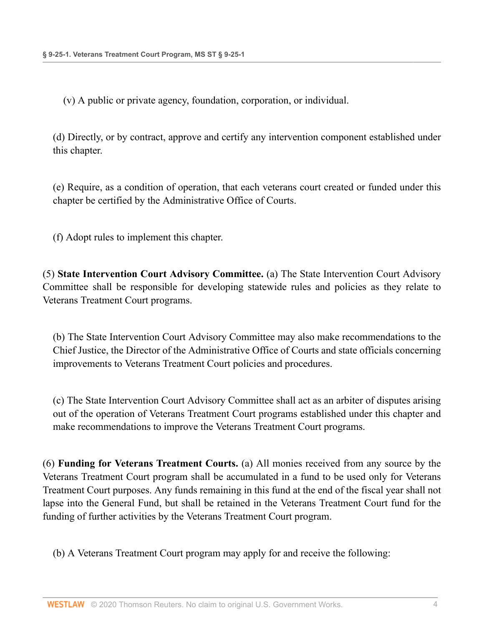(v) A public or private agency, foundation, corporation, or individual.

(d) Directly, or by contract, approve and certify any intervention component established under this chapter.

(e) Require, as a condition of operation, that each veterans court created or funded under this chapter be certified by the Administrative Office of Courts.

(f) Adopt rules to implement this chapter.

(5) **State Intervention Court Advisory Committee.** (a) The State Intervention Court Advisory Committee shall be responsible for developing statewide rules and policies as they relate to Veterans Treatment Court programs.

(b) The State Intervention Court Advisory Committee may also make recommendations to the Chief Justice, the Director of the Administrative Office of Courts and state officials concerning improvements to Veterans Treatment Court policies and procedures.

(c) The State Intervention Court Advisory Committee shall act as an arbiter of disputes arising out of the operation of Veterans Treatment Court programs established under this chapter and make recommendations to improve the Veterans Treatment Court programs.

(6) **Funding for Veterans Treatment Courts.** (a) All monies received from any source by the Veterans Treatment Court program shall be accumulated in a fund to be used only for Veterans Treatment Court purposes. Any funds remaining in this fund at the end of the fiscal year shall not lapse into the General Fund, but shall be retained in the Veterans Treatment Court fund for the funding of further activities by the Veterans Treatment Court program.

(b) A Veterans Treatment Court program may apply for and receive the following: